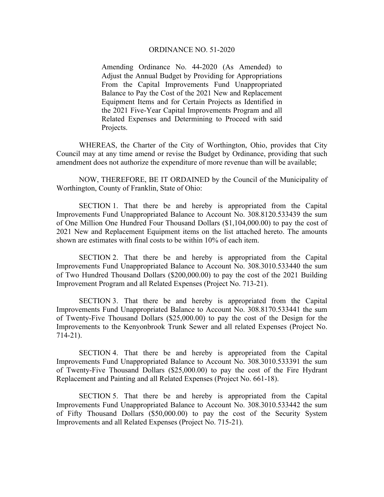## ORDINANCE NO. 51-2020

Amending Ordinance No. 44-2020 (As Amended) to Adjust the Annual Budget by Providing for Appropriations From the Capital Improvements Fund Unappropriated Balance to Pay the Cost of the 2021 New and Replacement Equipment Items and for Certain Projects as Identified in the 2021 Five-Year Capital Improvements Program and all Related Expenses and Determining to Proceed with said Projects.

 WHEREAS, the Charter of the City of Worthington, Ohio, provides that City Council may at any time amend or revise the Budget by Ordinance, providing that such amendment does not authorize the expenditure of more revenue than will be available;

 NOW, THEREFORE, BE IT ORDAINED by the Council of the Municipality of Worthington, County of Franklin, State of Ohio:

 SECTION 1. That there be and hereby is appropriated from the Capital Improvements Fund Unappropriated Balance to Account No. 308.8120.533439 the sum of One Million One Hundred Four Thousand Dollars (\$1,104,000.00) to pay the cost of 2021 New and Replacement Equipment items on the list attached hereto. The amounts shown are estimates with final costs to be within 10% of each item.

 SECTION 2. That there be and hereby is appropriated from the Capital Improvements Fund Unappropriated Balance to Account No. 308.3010.533440 the sum of Two Hundred Thousand Dollars (\$200,000.00) to pay the cost of the 2021 Building Improvement Program and all Related Expenses (Project No. 713-21).

 SECTION 3. That there be and hereby is appropriated from the Capital Improvements Fund Unappropriated Balance to Account No. 308.8170.533441 the sum of Twenty-Five Thousand Dollars (\$25,000.00) to pay the cost of the Design for the Improvements to the Kenyonbrook Trunk Sewer and all related Expenses (Project No. 714-21).

 SECTION 4. That there be and hereby is appropriated from the Capital Improvements Fund Unappropriated Balance to Account No. 308.3010.533391 the sum of Twenty-Five Thousand Dollars (\$25,000.00) to pay the cost of the Fire Hydrant Replacement and Painting and all Related Expenses (Project No. 661-18).

 SECTION 5. That there be and hereby is appropriated from the Capital Improvements Fund Unappropriated Balance to Account No. 308.3010.533442 the sum of Fifty Thousand Dollars (\$50,000.00) to pay the cost of the Security System Improvements and all Related Expenses (Project No. 715-21).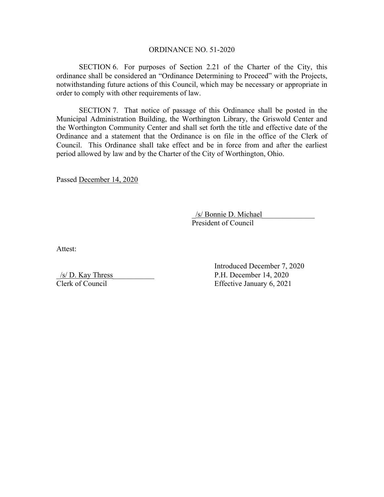## ORDINANCE NO. 51-2020

SECTION 6. For purposes of Section 2.21 of the Charter of the City, this ordinance shall be considered an "Ordinance Determining to Proceed" with the Projects, notwithstanding future actions of this Council, which may be necessary or appropriate in order to comply with other requirements of law.

SECTION 7. That notice of passage of this Ordinance shall be posted in the Municipal Administration Building, the Worthington Library, the Griswold Center and the Worthington Community Center and shall set forth the title and effective date of the Ordinance and a statement that the Ordinance is on file in the office of the Clerk of Council. This Ordinance shall take effect and be in force from and after the earliest period allowed by law and by the Charter of the City of Worthington, Ohio.

Passed December 14, 2020

\_/s/ Bonnie D. Michael\_\_\_\_\_\_\_\_\_\_\_\_\_\_ President of Council

Attest:

 $/s/$  D. Kay Thress Clerk of Council

Introduced December 7, 2020 P.H. December 14, 2020 Effective January 6, 2021